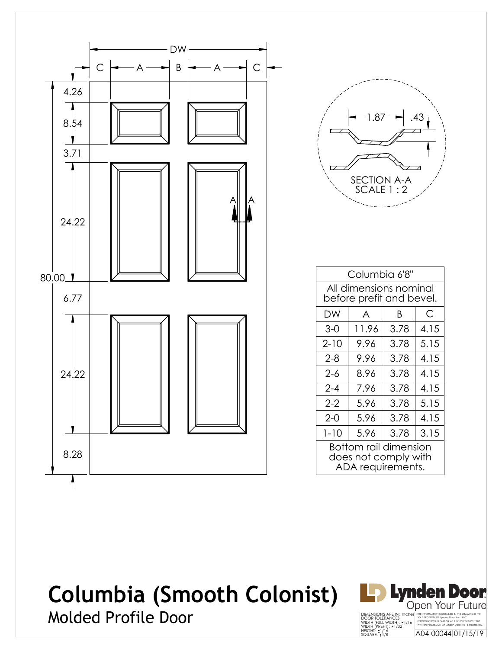

| 1.87                            | .43 |  |
|---------------------------------|-----|--|
|                                 |     |  |
| <b>SECTION A-A</b><br>SCALE 1:2 |     |  |

| Columbia 6'8"                                                             |                                                    |      |      |  |
|---------------------------------------------------------------------------|----------------------------------------------------|------|------|--|
|                                                                           | All dimensions nominal<br>before prefit and bevel. |      |      |  |
| DW                                                                        | A                                                  | B    | С    |  |
| 3-0                                                                       | 11.96                                              | 3.78 | 4.15 |  |
| $2 - 10$                                                                  | 9.96                                               | 3.78 | 5.15 |  |
| $2 - 8$                                                                   | 9.96                                               | 3.78 | 4.15 |  |
| $2 - 6$                                                                   | 8.96                                               | 3.78 | 4.15 |  |
| $2 - 4$                                                                   | 7.96                                               | 3.78 | 4.15 |  |
| $2 - 2$                                                                   | 5.96                                               | 3.78 | 5.15 |  |
| $2-0$                                                                     | 5.96                                               | 3.78 | 4.15 |  |
| $1 - 10$                                                                  | 5.96                                               | 3.78 | 3.15 |  |
| <b>Bottom rail dimension</b><br>does not comply with<br>ADA requirements. |                                                    |      |      |  |

## **Columbia (Smooth Colonist)**



Molded Profile Door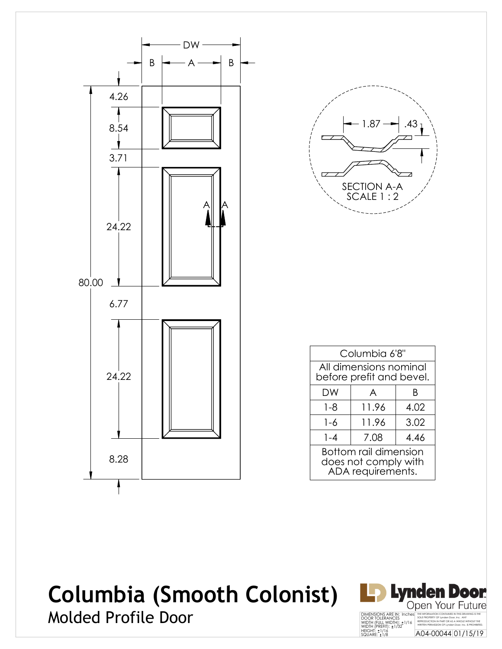



| Columbia 6'8"                                                             |        |  |  |  |  |
|---------------------------------------------------------------------------|--------|--|--|--|--|
| All dimensions nominal<br>before prefit and bevel.                        |        |  |  |  |  |
| DW                                                                        | R<br>A |  |  |  |  |
| $1 - 8$<br>11.96<br>4.02                                                  |        |  |  |  |  |
| 3.02<br>11.96<br>1-6                                                      |        |  |  |  |  |
| $1 - 4$<br>7.08<br>4.46                                                   |        |  |  |  |  |
| <b>Bottom rail dimension</b><br>does not comply with<br>ADA requirements. |        |  |  |  |  |

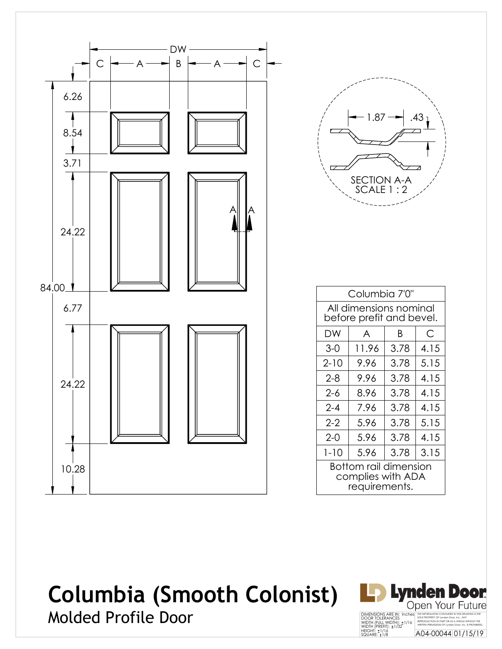



| Columbia 7'0"                                               |                                                    |      |      |  |
|-------------------------------------------------------------|----------------------------------------------------|------|------|--|
|                                                             | All dimensions nominal<br>before prefit and bevel. |      |      |  |
| DW                                                          | A                                                  | B    | С    |  |
| $3-0$                                                       | 11.96                                              | 3.78 | 4.15 |  |
| $2 - 10$                                                    | 9.96                                               | 3.78 | 5.15 |  |
| $2 - 8$                                                     | 9.96                                               | 3.78 | 4.15 |  |
| 2-6                                                         | 8.96                                               | 3.78 | 4.15 |  |
| $2 - 4$                                                     | 7.96                                               | 3.78 | 4.15 |  |
| $2 - 2$                                                     | 5.96                                               | 3.78 | 5.15 |  |
| $2 - 0$                                                     | 5.96                                               | 3.78 | 4.15 |  |
| $1 - 10$                                                    | 5.96                                               | 3.78 | 3.15 |  |
| Bottom rail dimension<br>complies with ADA<br>requirements. |                                                    |      |      |  |

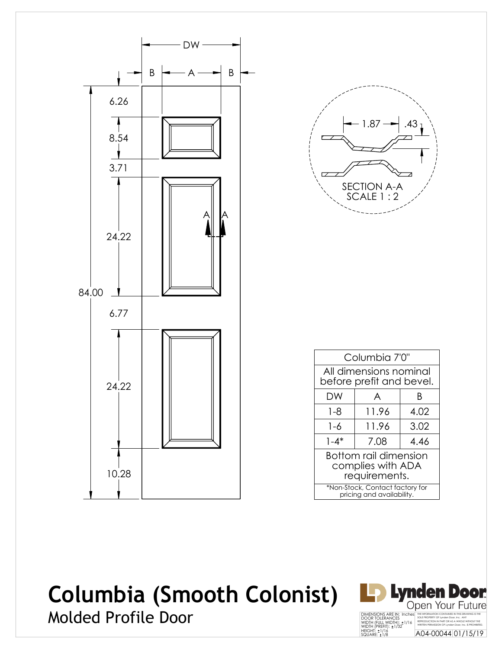

| 43<br>1.87                      |
|---------------------------------|
|                                 |
|                                 |
| <b>SECTION A-A</b><br>SCALE 1:2 |
|                                 |

|                                                              | Columbia 7'0"                                      |  |  |  |  |
|--------------------------------------------------------------|----------------------------------------------------|--|--|--|--|
|                                                              | All dimensions nominal<br>before prefit and bevel. |  |  |  |  |
| DW                                                           | A<br>B                                             |  |  |  |  |
| 4.02<br>11.96<br>1-8                                         |                                                    |  |  |  |  |
| 3.02<br>11.96<br>1-6                                         |                                                    |  |  |  |  |
| $1 - 4*$<br>7.08<br>4.46                                     |                                                    |  |  |  |  |
| Bottom rail dimension<br>complies with ADA<br>requirements.  |                                                    |  |  |  |  |
| *Non-Stock, Contact factory for<br>pricing and availability. |                                                    |  |  |  |  |

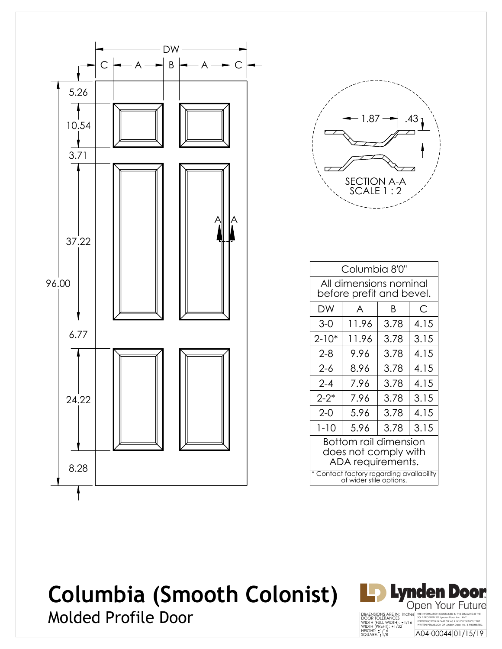



|                                                                     | Columbia 8'0" |      |      |  |  |
|---------------------------------------------------------------------|---------------|------|------|--|--|
| All dimensions nominal<br>before prefit and bevel.                  |               |      |      |  |  |
| DW                                                                  | A             | B    | С    |  |  |
| $3-0$                                                               | 11.96         | 3.78 | 4.15 |  |  |
| $2 - 10*$                                                           | 11.96         | 3.78 | 3.15 |  |  |
| $2 - 8$                                                             | 9.96          | 3.78 | 4.15 |  |  |
| $2 - 6$                                                             | 8.96          | 3.78 | 4.15 |  |  |
| $2 - 4$                                                             | 7.96          | 3.78 | 4.15 |  |  |
| $2 - 2^*$                                                           | 7.96          | 3.78 | 3.15 |  |  |
| $2 - 0$                                                             | 5.96          | 3.78 | 4.15 |  |  |
| $1 - 10$<br>3.15<br>5.96<br>3.78                                    |               |      |      |  |  |
| Bottom rail dimension<br>does not comply with<br>ADA requirements.  |               |      |      |  |  |
| * Contact factory regarding availability<br>of wider stile options. |               |      |      |  |  |

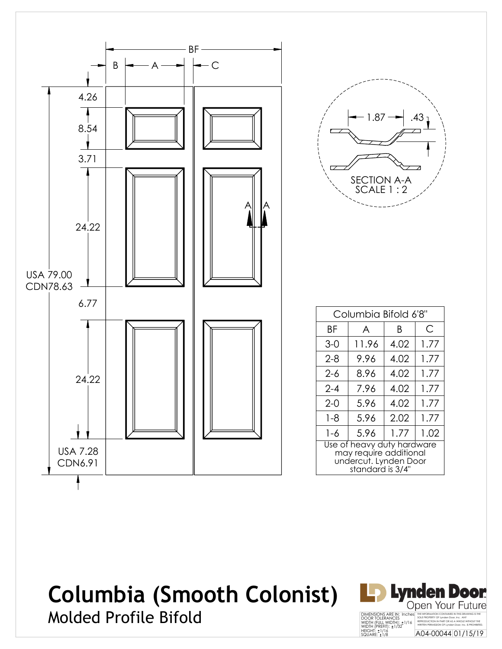



| Columbia Bifold 6'8"                                                                              |       |      |      |
|---------------------------------------------------------------------------------------------------|-------|------|------|
| ΒF                                                                                                | A     | Β    | С    |
| $3-0$                                                                                             | 11.96 | 4.02 | 1.77 |
| $2 - 8$                                                                                           | 9.96  | 4.02 | 1.77 |
| $2 - 6$                                                                                           | 8.96  | 4.02 | 1.77 |
| $2 - 4$                                                                                           | 7.96  | 4.02 | 1.77 |
| $2-0$                                                                                             | 5.96  | 4.02 | 1.77 |
| $1 - 8$                                                                                           | 5.96  | 2.02 | 1.77 |
| 1-6                                                                                               | 5.96  | 1.77 | 1.02 |
| Use of heavy duty hardware<br>may require additional<br>undercut. Lynden Door<br>standard is 3/4" |       |      |      |

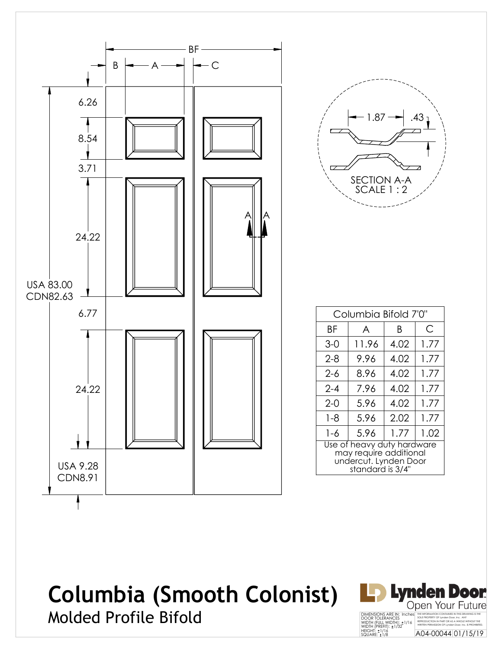



| Columbia Bifold 7'0"                                                                              |       |      |      |
|---------------------------------------------------------------------------------------------------|-------|------|------|
| ΒF                                                                                                | A     | B    | C    |
| $3-0$                                                                                             | 11.96 | 4.02 | 1.77 |
| $2 - 8$                                                                                           | 9.96  | 4.02 | 1.77 |
| $2 - 6$                                                                                           | 8.96  | 4.02 | 1.77 |
| $2 - 4$                                                                                           | 7.96  | 4.02 | 1.77 |
| $2 - 0$                                                                                           | 5.96  | 4.02 | 1.77 |
| $1 - 8$                                                                                           | 5.96  | 2.02 | 1.77 |
| 1-6                                                                                               | 5.96  | 1.77 | 1.02 |
| Use of heavy duty hardware<br>may require additional<br>undercut. Lynden Door<br>standard is 3/4" |       |      |      |

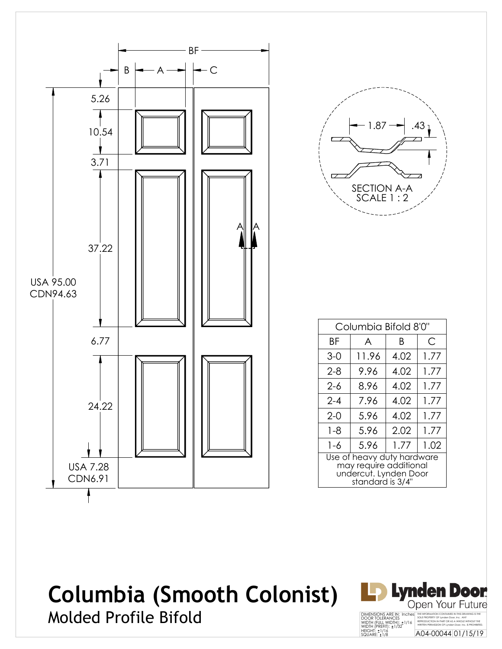![](_page_7_Figure_0.jpeg)

| .43<br>1.87                     |
|---------------------------------|
|                                 |
|                                 |
| <b>SECTION A-A</b><br>SCALE 1:2 |

| Columbia Bifold 8'0"                                                                              |       |      |      |
|---------------------------------------------------------------------------------------------------|-------|------|------|
| ΒF                                                                                                | A     | B    | C    |
| $3-0$                                                                                             | 11.96 | 4.02 | 1.77 |
| 2-8                                                                                               | 9.96  | 4.02 | 1.77 |
| $2 - 6$                                                                                           | 8.96  | 4.02 | 1.77 |
| $2 - 4$                                                                                           | 7.96  | 4.02 | 1.77 |
| $2-0$                                                                                             | 5.96  | 4.02 | 1.77 |
| $1 - 8$                                                                                           | 5.96  | 2.02 | 1.77 |
| $1 - 6$                                                                                           | 5.96  | 1.77 | 1.02 |
| Use of heavy duty hardware<br>may require additional<br>undercut. Lynden Door<br>standard is 3/4" |       |      |      |

![](_page_7_Picture_4.jpeg)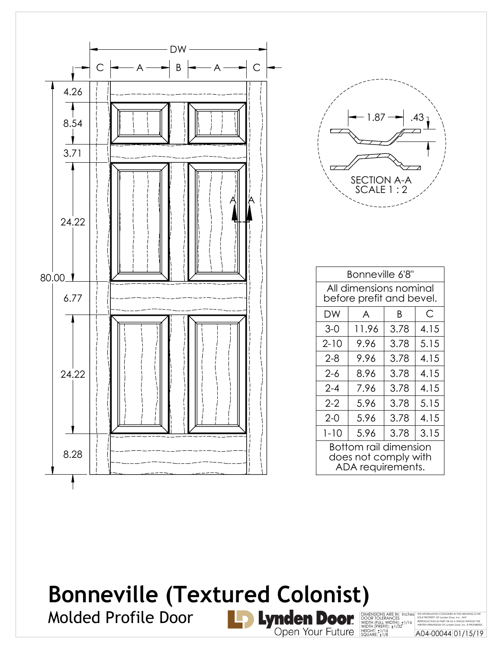![](_page_8_Figure_0.jpeg)

![](_page_8_Picture_1.jpeg)

| Bonneville 6'8"                                                           |                                                    |      |      |  |
|---------------------------------------------------------------------------|----------------------------------------------------|------|------|--|
|                                                                           | All dimensions nominal<br>before prefit and bevel. |      |      |  |
| DW                                                                        | A                                                  | B    | С    |  |
| $3-0$                                                                     | 11.96                                              | 3.78 | 4.15 |  |
| $2 - 10$                                                                  | 9.96                                               | 3.78 | 5.15 |  |
| $2 - 8$                                                                   | 9.96                                               | 3.78 | 4.15 |  |
| $2 - 6$                                                                   | 8.96                                               | 3.78 | 4.15 |  |
| $2 - 4$                                                                   | 7.96                                               | 3.78 | 4.15 |  |
| $2 - 2$                                                                   | 5.96                                               | 3.78 | 5.15 |  |
| $2 - 0$                                                                   | 5.96                                               | 3.78 | 4.15 |  |
| $1 - 10$                                                                  | 5.96                                               | 3.78 | 3.15 |  |
| <b>Bottom rail dimension</b><br>does not comply with<br>ADA requirements. |                                                    |      |      |  |

DIMENSIONS ARE IN: Inches<br>DOOR TOLERANCES<br>WIDTH (FULL WIDTH): ±1/16<br>WIDTH (PREFIT): ±1/32<br>HEIGHT: ±1/16<br>SQUARE: ±1/8

THE INFORMATION CONTAINED IN THIS DRAWING IS THE<br>SOLE PROPERTY OF Lynden Door, Inc. ANY<br>REPRODUCTION IN PART OR AS A WHOLE WITHOUT THE<br>WRITTEN PERMISSION OF Lynden Door, Inc. IS PROHIBITED. A04-00044 01/15/19

## **Bonneville (Textured Colonist)**

Molded Profile Door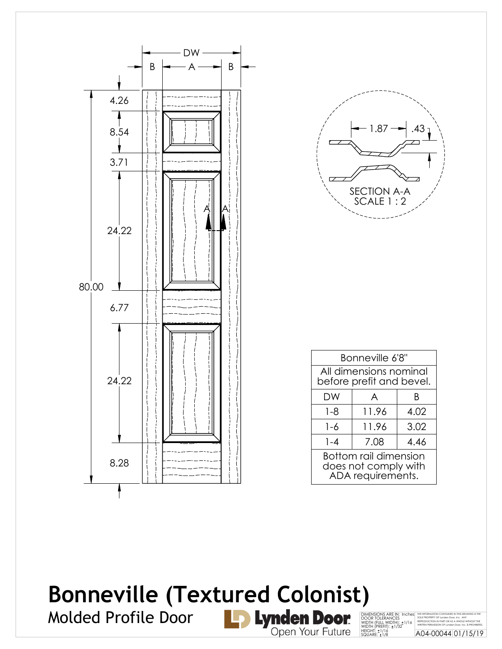![](_page_9_Figure_0.jpeg)

![](_page_9_Picture_1.jpeg)

| Bonneville 6'8"                                                    |       |      |  |
|--------------------------------------------------------------------|-------|------|--|
| All dimensions nominal<br>before prefit and bevel.                 |       |      |  |
| DW                                                                 | A     | B    |  |
| $1 - 8$                                                            | 11.96 | 4.02 |  |
| $1 - 6$                                                            | 11.96 | 3.02 |  |
| $1 - 4$                                                            | 7.08  | 4.46 |  |
| Bottom rail dimension<br>does not comply with<br>ADA requirements. |       |      |  |

#### **Bonneville (Textured Colonist)**Molded Profile Door

![](_page_9_Picture_4.jpeg)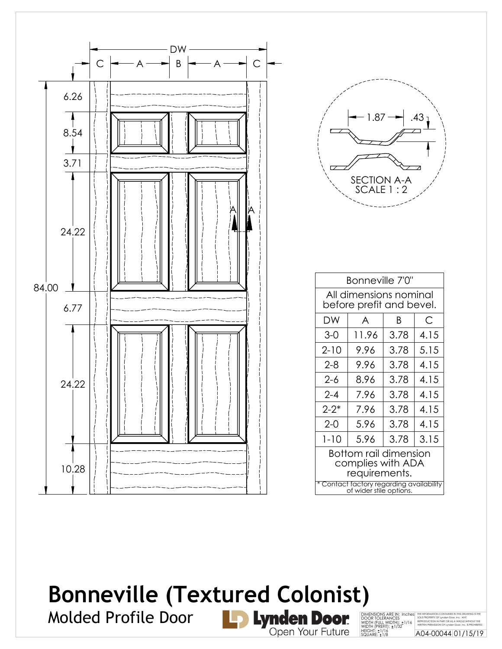![](_page_10_Figure_0.jpeg)

![](_page_10_Picture_1.jpeg)

| Bonneville 7'0"                                                     |             |      |      |  |
|---------------------------------------------------------------------|-------------|------|------|--|
| All dimensions nominal<br>before prefit and bevel.                  |             |      |      |  |
| DW                                                                  | С<br>A<br>B |      |      |  |
| $3-0$                                                               | 11.96       | 3.78 | 4.15 |  |
| $2 - 10$                                                            | 9.96        | 3.78 | 5.15 |  |
| $2 - 8$                                                             | 9.96        | 3.78 | 4.15 |  |
| $2 - 6$                                                             | 8.96        | 3.78 | 4.15 |  |
| $2 - 4$                                                             | 7.96        | 3.78 | 4.15 |  |
| $2 - 2^*$                                                           | 7.96        | 3.78 | 4.15 |  |
| $2 - 0$                                                             | 5.96        | 3.78 | 4.15 |  |
| $1 - 10$                                                            | 5.96        | 3.78 | 3.15 |  |
| Bottom rail dimension<br>complies with ADA<br>requirements.         |             |      |      |  |
| * Contact factory regarding availability<br>of wider stile options. |             |      |      |  |

## **Bonneville (Textured Colonist)**<br>Molded Profile Door<br>Note of Tan Molden Door Molded Profile Door

![](_page_10_Picture_4.jpeg)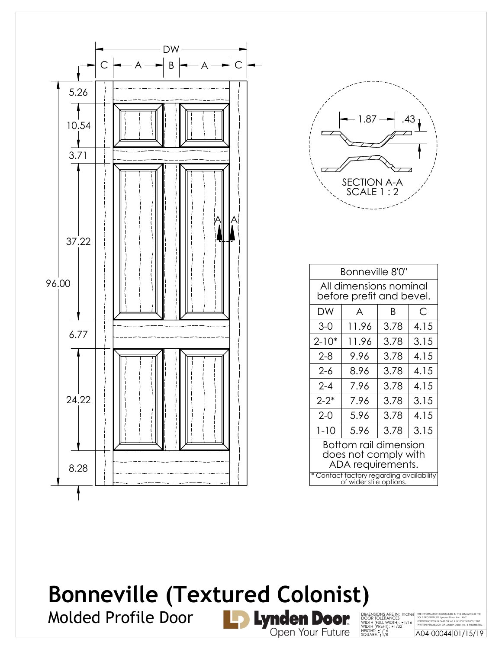![](_page_11_Figure_0.jpeg)

![](_page_11_Picture_1.jpeg)

|                                                                     | Bonneville 8'0" |      |      |  |
|---------------------------------------------------------------------|-----------------|------|------|--|
| All dimensions nominal<br>before prefit and bevel.                  |                 |      |      |  |
| DW                                                                  | A               | B    | С    |  |
| $3-0$                                                               | 11.96           | 3.78 | 4.15 |  |
| $2 - 10*$                                                           | 11.96           | 3.78 | 3.15 |  |
| $2 - 8$                                                             | 9.96            | 3.78 | 4.15 |  |
| $2 - 6$                                                             | 8.96            | 3.78 | 4.15 |  |
| $2 - 4$                                                             | 7.96            | 3.78 | 4.15 |  |
| $2 - 2^*$                                                           | 7.96            | 3.78 | 3.15 |  |
| $2 - 0$                                                             | 5.96            | 3.78 | 4.15 |  |
| $1 - 10$                                                            | 5.96            | 3.78 | 3.15 |  |
| Bottom rail dimension<br>does not comply with<br>ADA requirements.  |                 |      |      |  |
| * Contact factory regarding availability<br>of wider stile options. |                 |      |      |  |

THE INFORMATION CONTAINED IN THIS DRAWING IS THE<br>SOLE PROPERTY OF Lynden Door, Inc. ANY<br>REPRODUCTION IN PART OR AS A WHOLE WITHOUT THE<br>WRITTEN PERMISSION OF Lynden Door, Inc. IS PROHIBITED. A04-00044 01/15/19

DIMENSIONS ARE IN: Inches<br>DOOR TOLERANCES<br>WIDTH (FULL WIDTH): ±1/16<br>WIDTH (PREFIT): ±1/32<br>HEIGHT: ±1/16<br>SQUARE: ±1/8

# **Bonneville (Textured Colonist)**<br>Molded Profile Door<br>Noted Profile Door

Molded Profile Door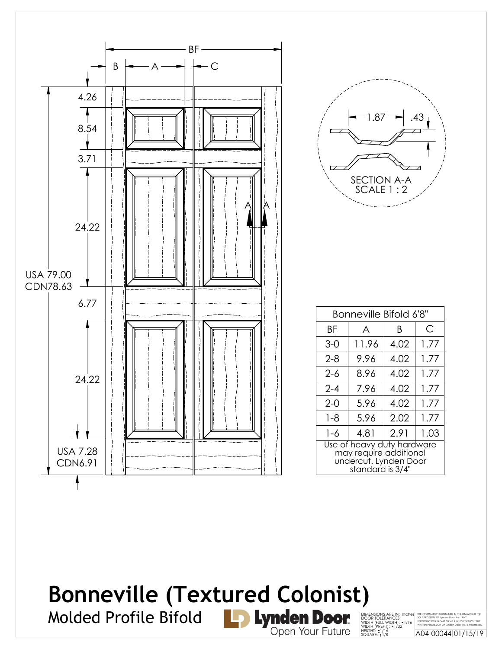![](_page_12_Figure_0.jpeg)

![](_page_12_Figure_1.jpeg)

| Bonneville Bifold 6'8"                                                                            |       |      |      |
|---------------------------------------------------------------------------------------------------|-------|------|------|
| ΒF                                                                                                | A     | B    | С    |
| $3-0$                                                                                             | 11.96 | 4.02 | 1.77 |
| $2 - 8$                                                                                           | 9.96  | 4.02 | 1.77 |
| $2 - 6$                                                                                           | 8.96  | 4.02 | 1.77 |
| $2 - 4$                                                                                           | 7.96  | 4.02 | 1.77 |
| $2 - 0$                                                                                           | 5.96  | 4.02 | 1.77 |
| $1 - 8$                                                                                           | 5.96  | 2.02 | 1.77 |
| 1-6                                                                                               | 4.81  | 2.91 | 1.03 |
| Use of heavy duty hardware<br>may require additional<br>undercut. Lynden Door<br>standard is 3/4" |       |      |      |

THE INFORMATION CONTAINED IN THIS DRAWING IS THE<br>SOLE PROPERTY OF Lynden Door, Inc. ANY<br>REPRODUCTION IN PART OR AS A WHOLE WITHOUT THE<br>WRITTEN PERMISSION OF Lynden Door, Inc. IS PROHIBITED. A04-00044 01/15/19

## **Bonneville (Textured Colonist)**DIMENSIONS ARE IN: Inches<br>DOOR TOLERANCES<br>WIDTH (FULL WIDTH): ±1/16<br>WIDTH (PREFIT): ±1/32<br>HEIGHT: ±1/16<br>SQUARE: ±1/8

Molded Profile Bifold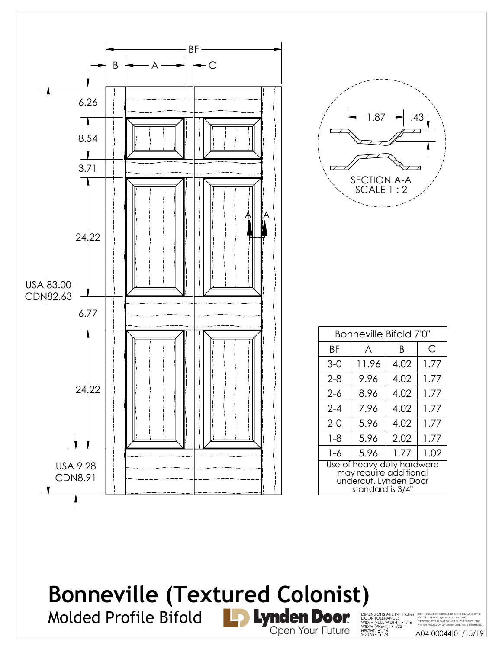![](_page_13_Figure_0.jpeg)

| 1.87                            | 43 |
|---------------------------------|----|
|                                 |    |
| <b>SECTION A-A</b><br>SCALE 1:2 |    |

| Bonneville Bifold 7'0"                                                                            |       |      |      |
|---------------------------------------------------------------------------------------------------|-------|------|------|
| ΒF                                                                                                | A     | Β    | С    |
| $3-0$                                                                                             | 11.96 | 4.02 | 1.77 |
| $2 - 8$                                                                                           | 9.96  | 4.02 | 1.77 |
| $2 - 6$                                                                                           | 8.96  | 4.02 | 1.77 |
| $2 - 4$                                                                                           | 7.96  | 4.02 | 1.77 |
| $2 - 0$                                                                                           | 5.96  | 4.02 | 1.77 |
| $1 - 8$                                                                                           | 5.96  | 2.02 | 1.77 |
| 1-6                                                                                               | 5.96  | 1.77 | 1.02 |
| Use of heavy duty hardware<br>may require additional<br>undercut. Lynden Door<br>standard is 3/4" |       |      |      |

#### **Bonneville (Textured Colonist)**Molded Profile Bifold

![](_page_13_Picture_4.jpeg)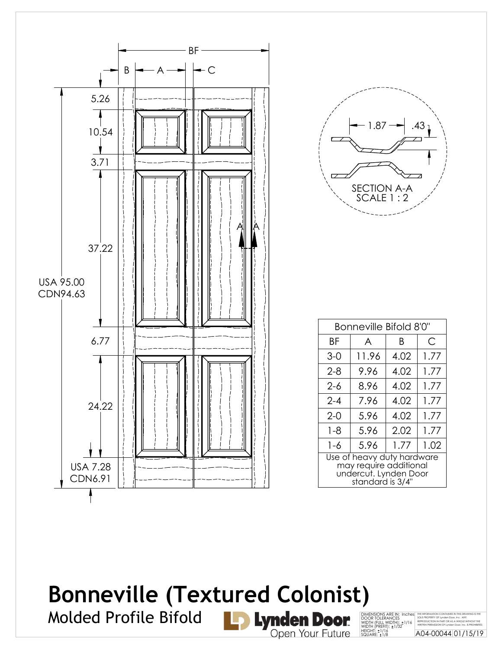![](_page_14_Figure_0.jpeg)

![](_page_14_Picture_1.jpeg)

| Bonneville Bifold 8'0"                                                                            |       |      |      |
|---------------------------------------------------------------------------------------------------|-------|------|------|
| ΒF                                                                                                | A     | Β    | С    |
| $3-0$                                                                                             | 11.96 | 4.02 | 1.77 |
| $2 - 8$                                                                                           | 9.96  | 4.02 | 1.77 |
| 2-6                                                                                               | 8.96  | 4.02 | 1.77 |
| $2 - 4$                                                                                           | 7.96  | 4.02 | 1.77 |
| $2 - 0$                                                                                           | 5.96  | 4.02 | 1.77 |
| $1 - 8$                                                                                           | 5.96  | 2.02 | 1.77 |
| $1 - 6$                                                                                           | 5.96  | 1.77 | 1.02 |
| Use of heavy duty hardware<br>may require additional<br>undercut. Lynden Door<br>standard is 3/4" |       |      |      |

THE INFORMATION CONTAINED IN THIS DRAWING IS THE<br>SOLE PROPERTY OF Lynden Door, Inc. ANY<br>REPRODUCTION IN PART OR AS A WHOLE WITHOUT THE<br>WRITTEN PERMISSION OF Lynden Door, Inc. IS PROHIBITED. A04-00044 01/15/19

### **Bonneville (Textured Colonist)**DIMENSIONS ARE IN: Inches<br>DOOR TOLERANCES<br>WIDTH (FULL WIDTH): ±1/16<br>WIDTH (PREFIT): ±1/32<br>HEIGHT: ±1/16<br>SQUARE: ±1/8

Molded Profile Bifold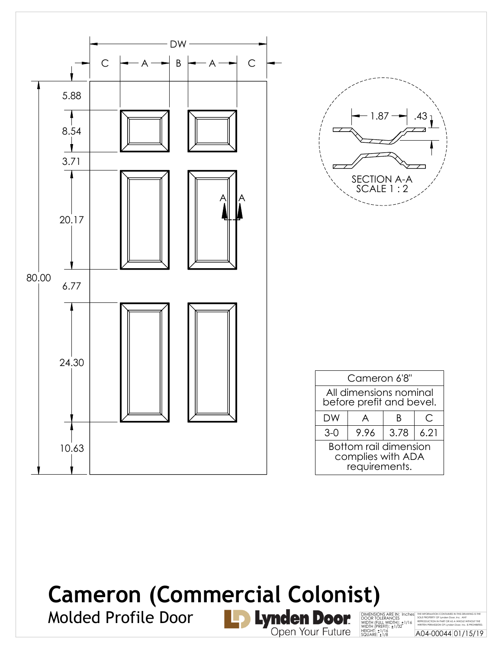![](_page_15_Figure_0.jpeg)

## **Cameron (Commercial Colonist)**

Molded Profile Door

THE INFORMATION CONTAINED IN THIS DRAWING IS THE<br>SOLE PROPERTY OF Lynden Door, Inc. ANY<br>REPRODUCTION IN PART OR AS A WHOLE WITHOUT THE<br>WRITTEN PERMISSION OF Lynden Door, Inc. IS PROHIBITED. A04-00044 01/15/19 DIMENSIONS ARE IN: Inches<br>DOOR TOLERANCES<br>WIDTH (FULL WIDTH): ±1/16<br>WIDTH (PREFIT): ±1/32<br>HEIGHT: ±1/16<br>SQUARE: ±1/8